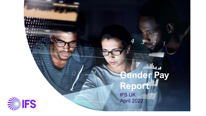

 $($  ,

# IFS UK April 2022 **Gender Pay Report**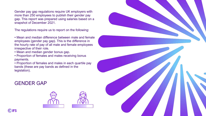Gender pay gap regulations require UK employers with more than 250 employees to publish their gender pay gap. This report was prepared using salaries based on a snapshot of December 2021.

The regulations require us to report on the following:

• Mean and median difference between male and female employees (gender pay gap). This is the difference in the hourly rate of pay of all male and female employees irrespective of their role.

- Mean and median gender bonus gap.
- Proportion of females and males receiving bonus payments.
- Proportion of females and males in each quartile pay bands (these are pay bands as defined in the legislation).

### GENDER GAP





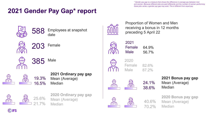*\* Gender pay gap is a measure that shows the difference in average pay between men and women. Because different jobs are paid differently and the number of women performing these jobs varies, a gender pay gap may exist. This is different from equal pay.*

# **2021 Gender Pay Gap\* report**









385 Male



### **2021 Ordinary pay gap** Mean (Average) Median



**2020 Ordinary pay gap** Mean (Average) Median



Proportion of Women and Men receiving a bonus in 12 months preceding 5 April 22



64.9% 56.7% 2021 Female Male



2020 Female Male 82.6% 87.2%





40.6%

70.2%

**2021 Bonus pay gap** Mean (Average) **Median** 

**2020 Bonus pay gap** Mean (Average) Median

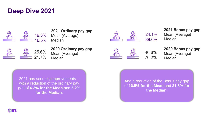### **Deep Dive 2021**



#### **2021 Ordinary pay gap** Mean (Average)

16.5% **Median** 



**2020 Ordinary pay gap** Mean (Average) Median



### 40.6% 70.2%

**2021 Bonus pay gap** Mean (Average) **Median** 

**2020 Bonus pay gap** Mean (Average) Median

2021 has seen big improvements – with a reduction of the ordinary pay gap of **6.3% for the Mean** and **5.2% for the Median**.

And a reduction of the Bonus pay gap of **16.5% for the Mean** and **31.6% for the Median**.

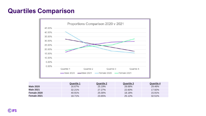### **Quartiles Comparison**



|                  | <b>Quartile 1</b> | <b>Quartile 2</b> | <b>Quartile 3</b> | Quartile 4 |
|------------------|-------------------|-------------------|-------------------|------------|
| <b>Male 2020</b> | 16.67%            | 25.19%            | 28.68%            | 29.46%     |
| <b>Male 2021</b> | $32.21\%$         | 27.27%            | 22.60%            | $17.92\%$  |
| Female 2020      | 40.91%            | 25.00%            | 18.18%            | $15.91\%$  |
| Female 2021      | 18.71%            | 23.65%            | 25.12%            | 32.51%     |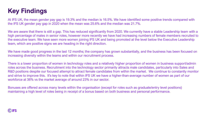# **Key Findings**

At IFS UK, the mean gender pay gap is 19.3% and the median is 16.5%. We have identified some positive trends compared with the IFS UK gender pay gap in 2020 when the mean was 25.6% and the median was 21.7%.

We are aware that there is still a gap. This has reduced significantly from 2020. We currently have a stable Leadership team with a high percentage of males in senior roles, however more recently we have had increasing numbers of female members recruited to the executive team. We have seen more women joining IFS UK and being promoted at the level below the Executive Leadership team, which are positive signs we are heading in the right direction.

We have made good progress in the last 12 months; the company has grown substantially, and the business has been focused on increasing diversity within the teams and within our recruitment process.

There is a lower proportion of women in technology roles and a relatively higher proportion of women in business support/admin roles across the business. Recruitment into the technology sector primarily attracts male candidates, particularly into Sales and R&D positions despite our focused attempt to attract female candidates from within the market. We continue to constantly monitor and strive to improve this. It's key to note that within IFS UK we have a higher-than-average number of women as part of our workforce at 36% vs the market average of around 23% in our sector.

Bonuses are offered across many levels within the organisation (except for roles such as graduate/entry level positions) maintaining a high level of roles being in receipt of a bonus based on both business and personal performance.

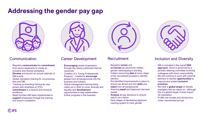# **Addressing the gender pay gap**



#### **Communication**

- Regularly **communicate** the **commitment** from senior leadership to create an inclusive and diverse workplace
- **Develop** and launch an annual calendar of D&I events
- Global mandatory training for unconscious bias and D&I
- Tracking on-boarding training for new joiners with emphasis on IFS's **commitment** to a diverse and inclusive workforce
- Newly formed L&D team implemented to **support** employees through the training and ensure completion



### Career Development

- **Encouraging** career progression through the clearly publicized internal vacancies
- Creation of a 'Young Professionals Program' - created to **encourage** people from all backgrounds into the business and industry
- Global management training being rolled out in 2022 to cover diversity and equality and **development** opportunities to help stakeholders further progress in the business



#### Recruitment

- Regularly **review** and **scrutinize** job adverts for hidden gender stereotyping in wording
- Collect resourcing **data** at every stage of the recruitment process to identify barriers
- Put identified improvements in place to ensure we attract and hire **skills** and **talent** from all backgrounds
- Ensuring **equal** and balanced interview panels
- **Analyse** all pay decisions to ensure bias is not a factor
- Early stages of developing applicant tracking system to track gender



### Inclusion and Diversity

- D&I is included in the overall **ESG approach**, which is governed by a periodic steering committee involving colleagues with direct responsibility
- We will continue to work with external partners to identify **opportunities** to improve and embed **inclusive practices**
- We have a **global target** on female managers that we report on - although this is a global target, it does impact UK population
- Profile role models and stories from under-represented groups

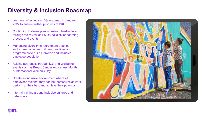### **Diversity & Inclusion Roadmap**

- We have refreshed our D&I roadmap in January 2022 to ensure further progress of D&I
- Continuing to develop an inclusive infrastructure through the review of IFS UK policies, onboarding process and events
- Mandating diversity in recruitment practice and championing recruitment practices and programmes to build a diverse and inclusive employee population
- Raising awareness through D&I and Wellbeing events such as Breast Cancer Awareness Month & International Women's Day
- Create an inclusive environment where all employees feel that they can be themselves at work, perform at their best and achieve their potential
- Internal training around inclusive cultures and behaviours



**WIFS**